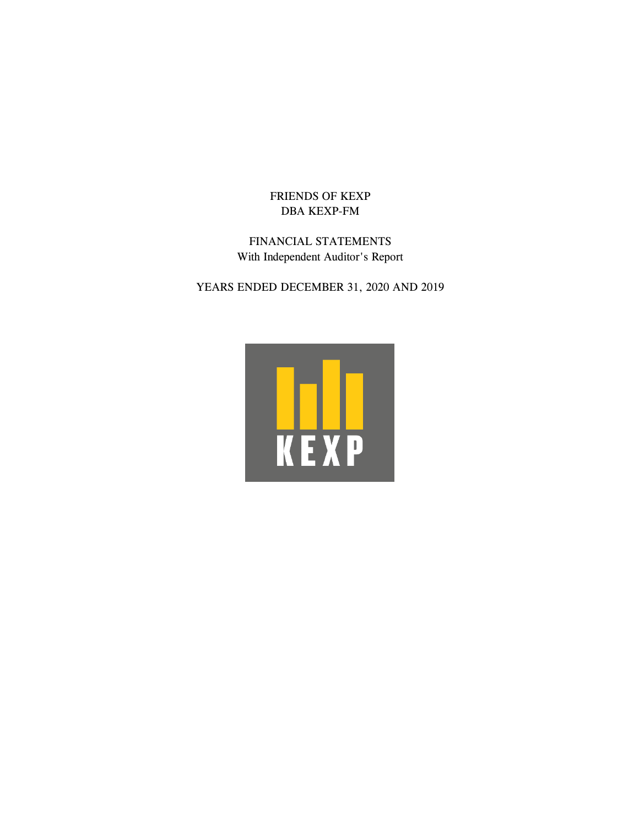FINANCIAL STATEMENTS With Independent Auditor's Report

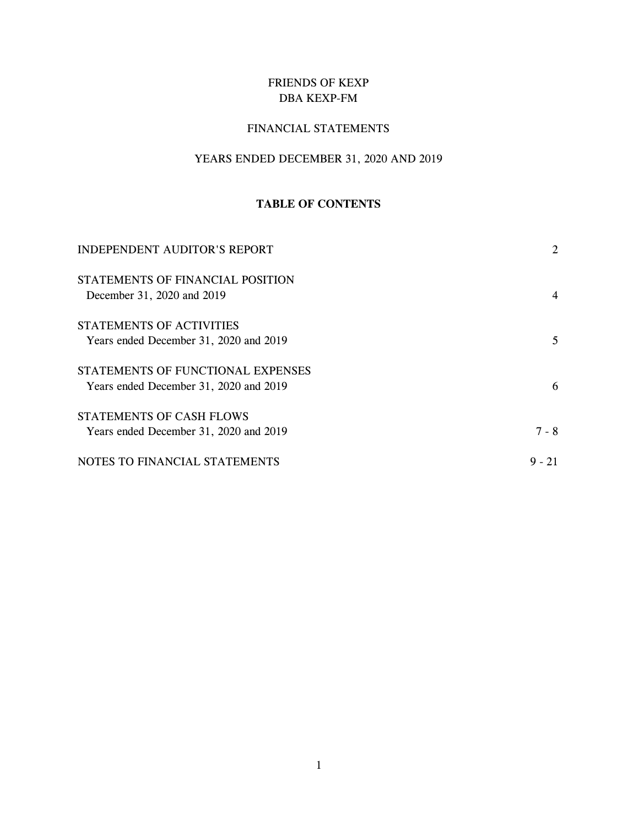# FINANCIAL STATEMENTS

# YEARS ENDED DECEMBER 31, 2020 AND 2019

# **TABLE OF CONTENTS**

| INDEPENDENT AUDITOR'S REPORT                                                | 2        |
|-----------------------------------------------------------------------------|----------|
| STATEMENTS OF FINANCIAL POSITION<br>December 31, 2020 and 2019              | 4        |
| <b>STATEMENTS OF ACTIVITIES</b><br>Years ended December 31, 2020 and 2019   | 5        |
| STATEMENTS OF FUNCTIONAL EXPENSES<br>Years ended December 31, 2020 and 2019 | 6        |
| STATEMENTS OF CASH FLOWS<br>Years ended December 31, 2020 and 2019          | $7 - 8$  |
| NOTES TO FINANCIAL STATEMENTS                                               | $9 - 21$ |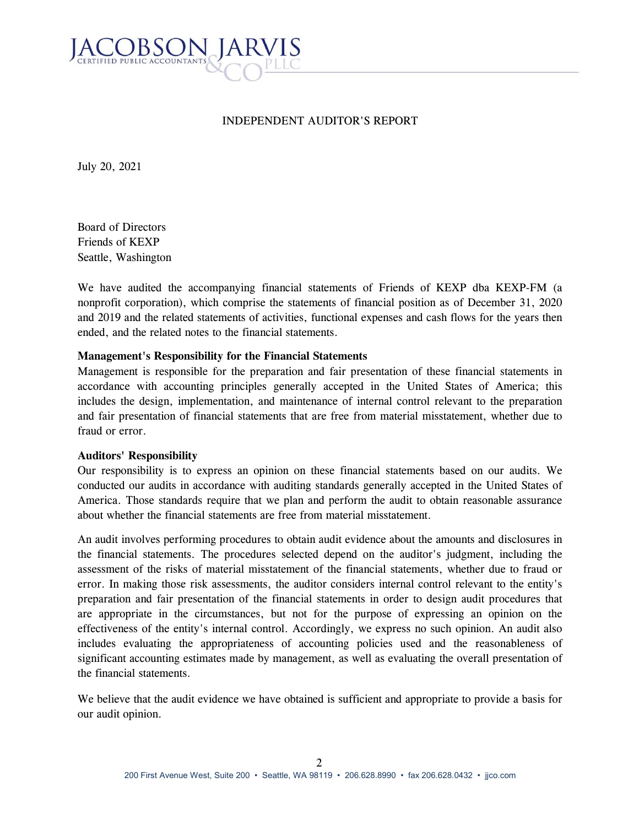

# INDEPENDENT AUDITOR'S REPORT

July 20, 2021

Board of Directors Friends of KEXP Seattle, Washington

We have audited the accompanying financial statements of Friends of KEXP dba KEXP-FM (a nonprofit corporation), which comprise the statements of financial position as of December 31, 2020 and 2019 and the related statements of activities, functional expenses and cash flows for the years then ended, and the related notes to the financial statements.

# **Management's Responsibility for the Financial Statements**

Management is responsible for the preparation and fair presentation of these financial statements in accordance with accounting principles generally accepted in the United States of America; this includes the design, implementation, and maintenance of internal control relevant to the preparation and fair presentation of financial statements that are free from material misstatement, whether due to fraud or error.

### **Auditors' Responsibility**

Our responsibility is to express an opinion on these financial statements based on our audits. We conducted our audits in accordance with auditing standards generally accepted in the United States of America. Those standards require that we plan and perform the audit to obtain reasonable assurance about whether the financial statements are free from material misstatement.

An audit involves performing procedures to obtain audit evidence about the amounts and disclosures in the financial statements. The procedures selected depend on the auditor's judgment, including the assessment of the risks of material misstatement of the financial statements, whether due to fraud or error. In making those risk assessments, the auditor considers internal control relevant to the entity's preparation and fair presentation of the financial statements in order to design audit procedures that are appropriate in the circumstances, but not for the purpose of expressing an opinion on the effectiveness of the entity's internal control. Accordingly, we express no such opinion. An audit also includes evaluating the appropriateness of accounting policies used and the reasonableness of significant accounting estimates made by management, as well as evaluating the overall presentation of the financial statements.

We believe that the audit evidence we have obtained is sufficient and appropriate to provide a basis for our audit opinion.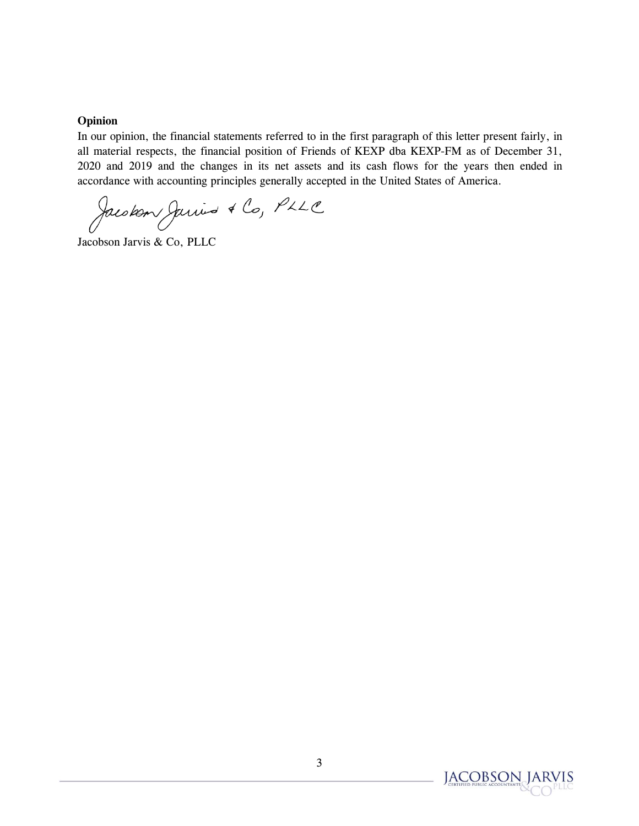# **Opinion**

In our opinion, the financial statements referred to in the first paragraph of this letter present fairly, in all material respects, the financial position of Friends of KEXP dba KEXP-FM as of December 31, 2020 and 2019 and the changes in its net assets and its cash flows for the years then ended in accordance with accounting principles generally accepted in the United States of America.

Jacoken Juries & Co, PLLC

Jacobson Jarvis & Co, PLLC

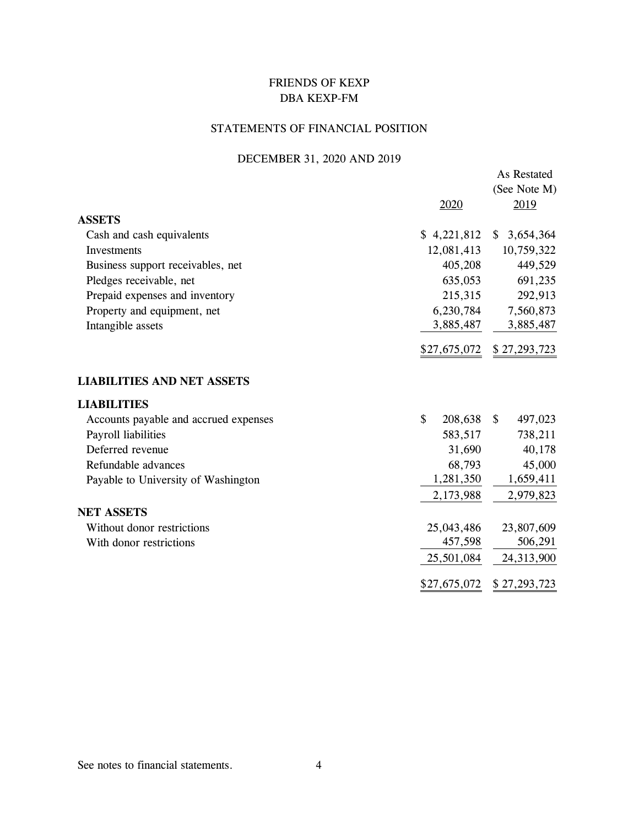# STATEMENTS OF FINANCIAL POSITION

# DECEMBER 31, 2020 AND 2019

|                                       |               | As Restated   |
|---------------------------------------|---------------|---------------|
|                                       |               | (See Note M)  |
|                                       | 2020          | 2019          |
| <b>ASSETS</b>                         |               |               |
| Cash and cash equivalents             | \$4,221,812   | \$3,654,364   |
| Investments                           | 12,081,413    | 10,759,322    |
| Business support receivables, net     | 405,208       | 449,529       |
| Pledges receivable, net               | 635,053       | 691,235       |
| Prepaid expenses and inventory        | 215,315       | 292,913       |
| Property and equipment, net           | 6,230,784     | 7,560,873     |
| Intangible assets                     | 3,885,487     | 3,885,487     |
|                                       | \$27,675,072  | \$27,293,723  |
| <b>LIABILITIES AND NET ASSETS</b>     |               |               |
| <b>LIABILITIES</b>                    |               |               |
| Accounts payable and accrued expenses | \$<br>208,638 | \$<br>497,023 |
| Payroll liabilities                   | 583,517       | 738,211       |
| Deferred revenue                      | 31,690        | 40,178        |
| Refundable advances                   | 68,793        | 45,000        |
| Payable to University of Washington   | 1,281,350     | 1,659,411     |
|                                       | 2,173,988     | 2,979,823     |
| <b>NET ASSETS</b>                     |               |               |
| Without donor restrictions            | 25,043,486    | 23,807,609    |
| With donor restrictions               | 457,598       | 506,291       |
|                                       | 25,501,084    | 24,313,900    |
|                                       | \$27,675,072  | \$27,293,723  |
|                                       |               |               |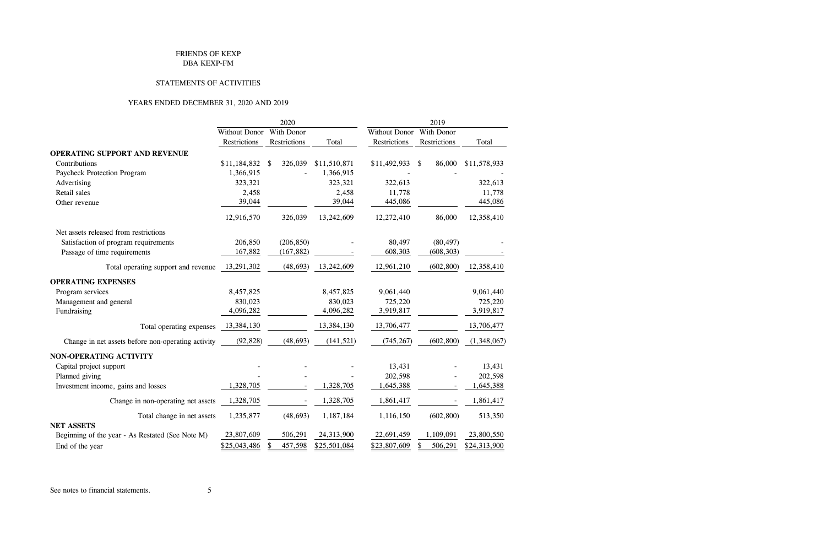|                                                    |                      | 2020         |            |              |                      | 2019                                |              |
|----------------------------------------------------|----------------------|--------------|------------|--------------|----------------------|-------------------------------------|--------------|
|                                                    | <b>Without Donor</b> | With Donor   |            |              | <b>Without Donor</b> | With Donor                          |              |
|                                                    | Restrictions         | Restrictions |            | Total        | Restrictions         | Restrictions                        | Total        |
| <b>OPERATING SUPPORT AND REVENUE</b>               |                      |              |            |              |                      |                                     |              |
| Contributions                                      | \$11,184,832         | \$           | 326,039    | \$11,510,871 | \$11,492,933         | 86,000<br>$\boldsymbol{\mathsf{S}}$ | \$11,578,933 |
| Paycheck Protection Program                        | 1,366,915            |              |            | 1,366,915    |                      |                                     |              |
| Advertising                                        | 323,321              |              |            | 323,321      | 322,613              |                                     | 322,613      |
| Retail sales                                       | 2,458                |              |            | 2,458        | 11,778               |                                     | 11,778       |
| Other revenue                                      | 39,044               |              |            | 39,044       | 445,086              |                                     | 445,086      |
|                                                    | 12,916,570           |              | 326,039    | 13,242,609   | 12,272,410           | 86,000                              | 12,358,410   |
| Net assets released from restrictions              |                      |              |            |              |                      |                                     |              |
| Satisfaction of program requirements               | 206,850              |              | (206, 850) |              | 80,497               | (80, 497)                           |              |
| Passage of time requirements                       | 167,882              |              | (167, 882) |              | 608,303              | (608, 303)                          |              |
| Total operating support and revenue                | 13,291,302           |              | (48, 693)  | 13,242,609   | 12,961,210           | (602, 800)                          | 12,358,410   |
| <b>OPERATING EXPENSES</b>                          |                      |              |            |              |                      |                                     |              |
| Program services                                   | 8,457,825            |              |            | 8,457,825    | 9,061,440            |                                     | 9,061,440    |
| Management and general                             | 830,023              |              |            | 830,023      | 725,220              |                                     | 725,220      |
| Fundraising                                        | 4,096,282            |              |            | 4,096,282    | 3,919,817            |                                     | 3,919,817    |
| Total operating expenses                           | 13,384,130           |              |            | 13,384,130   | 13,706,477           |                                     | 13,706,477   |
| Change in net assets before non-operating activity | (92, 828)            |              | (48, 693)  | (141, 521)   | (745, 267)           | (602, 800)                          | (1,348,067)  |
| <b>NON-OPERATING ACTIVITY</b>                      |                      |              |            |              |                      |                                     |              |
| Capital project support                            |                      |              |            |              | 13,431               |                                     | 13,431       |
| Planned giving                                     |                      |              |            |              | 202,598              |                                     | 202,598      |
| Investment income, gains and losses                | 1,328,705            |              |            | 1,328,705    | 1,645,388            |                                     | 1,645,388    |
| Change in non-operating net assets                 | 1,328,705            |              |            | 1,328,705    | 1,861,417            |                                     | 1,861,417    |
| Total change in net assets                         | 1,235,877            |              | (48, 693)  | 1,187,184    | 1,116,150            | (602, 800)                          | 513,350      |
| <b>NET ASSETS</b>                                  |                      |              |            |              |                      |                                     |              |
| Beginning of the year - As Restated (See Note M)   | 23,807,609           |              | 506,291    | 24,313,900   | 22,691,459           | 1,109,091                           | 23,800,550   |
| End of the year                                    | \$25,043,486         | \$           | 457,598    | \$25,501,084 | \$23,807,609         | \$<br>506,291                       | \$24,313,900 |

# STATEMENTS OF ACTIVITIES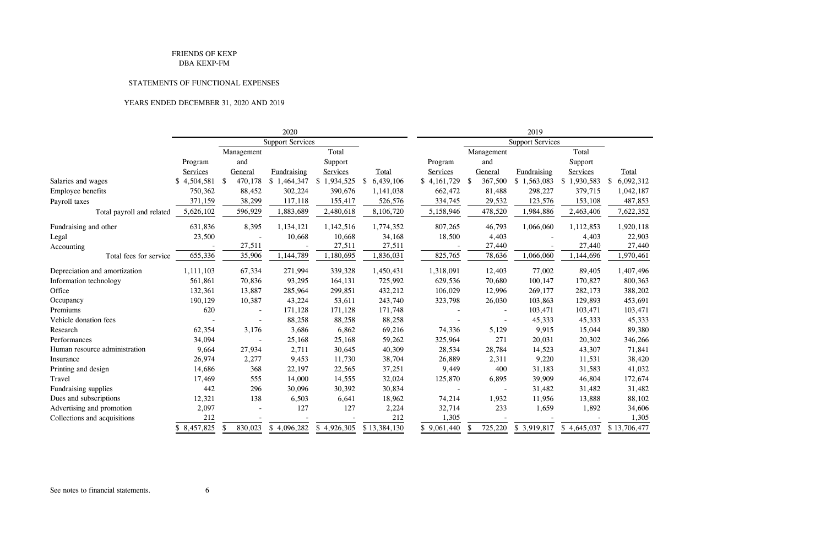|                               | 2020             |                           |            |                         | 2019            |                            |             |              |            |                         |             |                 |
|-------------------------------|------------------|---------------------------|------------|-------------------------|-----------------|----------------------------|-------------|--------------|------------|-------------------------|-------------|-----------------|
|                               |                  |                           |            | <b>Support Services</b> |                 |                            |             |              |            | <b>Support Services</b> |             |                 |
|                               |                  |                           | Management |                         | Total           |                            |             |              | Management |                         | Total       |                 |
|                               | Program          |                           | and        |                         | Support         |                            | Program     |              | and        |                         | Support     |                 |
|                               | <b>Services</b>  |                           | General    | Fundraising             | <b>Services</b> | Total                      | Services    |              | General    | Fundraising             | Services    | Total           |
| Salaries and wages            | $$4,504,581$ \\$ |                           | 470,178    | \$1,464,347             | \$1,934,525     | 6,439,106<br>$\mathcal{S}$ | \$4,161,729 | $\sqrt$      | 367,500    | \$1,563,083             | \$1,930,583 | 6,092,312<br>\$ |
| Employee benefits             | 750,362          |                           | 88,452     | 302,224                 | 390,676         | 1,141,038                  | 662,472     |              | 81,488     | 298,227                 | 379,715     | 1,042,187       |
| Payroll taxes                 | 371,159          |                           | 38,299     | 117,118                 | 155,417         | 526,576                    | 334,745     |              | 29,532     | 123,576                 | 153,108     | 487,853         |
| Total payroll and related     | 5,626,102        |                           | 596,929    | 1,883,689               | 2,480,618       | 8,106,720                  | 5,158,946   |              | 478,520    | 1,984,886               | 2,463,406   | 7,622,352       |
| Fundraising and other         | 631,836          |                           | 8,395      | 1,134,121               | 1,142,516       | 1,774,352                  | 807,265     |              | 46,793     | 1,066,060               | 1,112,853   | 1,920,118       |
| Legal                         | 23,500           |                           |            | 10,668                  | 10,668          | 34,168                     | 18,500      |              | 4,403      |                         | 4,403       | 22,903          |
| Accounting                    |                  |                           | 27,511     |                         | 27,511          | 27,511                     |             |              | 27,440     |                         | 27,440      | 27,440          |
| Total fees for service        | 655,336          |                           | 35,906     | 1,144,789               | 1,180,695       | 1,836,031                  | 825,765     |              | 78,636     | 1,066,060               | 1,144,696   | 1,970,461       |
| Depreciation and amortization | 1,111,103        |                           | 67,334     | 271,994                 | 339,328         | 1,450,431                  | 1,318,091   |              | 12,403     | 77,002                  | 89,405      | 1,407,496       |
| Information technology        | 561,861          |                           | 70,836     | 93,295                  | 164,131         | 725,992                    | 629,536     |              | 70,680     | 100,147                 | 170,827     | 800,363         |
| Office                        | 132,361          |                           | 13,887     | 285,964                 | 299,851         | 432,212                    | 106,029     |              | 12,996     | 269,177                 | 282,173     | 388,202         |
| Occupancy                     | 190,129          |                           | 10,387     | 43,224                  | 53,611          | 243,740                    | 323,798     |              | 26,030     | 103,863                 | 129,893     | 453,691         |
| Premiums                      | 620              |                           |            | 171,128                 | 171,128         | 171,748                    |             |              |            | 103,471                 | 103,471     | 103,471         |
| Vehicle donation fees         |                  |                           |            | 88,258                  | 88,258          | 88,258                     |             |              |            | 45,333                  | 45,333      | 45,333          |
| Research                      | 62,354           |                           | 3,176      | 3,686                   | 6,862           | 69,216                     | 74,336      |              | 5,129      | 9,915                   | 15,044      | 89,380          |
| Performances                  | 34,094           |                           |            | 25,168                  | 25,168          | 59,262                     | 325,964     |              | 271        | 20,031                  | 20,302      | 346,266         |
| Human resource administration | 9,664            |                           | 27,934     | 2,711                   | 30,645          | 40,309                     | 28,534      |              | 28,784     | 14,523                  | 43,307      | 71,841          |
| Insurance                     | 26,974           |                           | 2,277      | 9,453                   | 11,730          | 38,704                     | 26,889      |              | 2,311      | 9,220                   | 11,531      | 38,420          |
| Printing and design           | 14,686           |                           | 368        | 22,197                  | 22,565          | 37,251                     | 9,449       |              | 400        | 31,183                  | 31,583      | 41,032          |
| Travel                        | 17,469           |                           | 555        | 14,000                  | 14,555          | 32,024                     | 125,870     |              | 6,895      | 39,909                  | 46,804      | 172,674         |
| Fundraising supplies          | 442              |                           | 296        | 30,096                  | 30,392          | 30,834                     |             |              |            | 31,482                  | 31,482      | 31,482          |
| Dues and subscriptions        | 12,321           |                           | 138        | 6,503                   | 6,641           | 18,962                     | 74,214      |              | 1,932      | 11,956                  | 13,888      | 88,102          |
| Advertising and promotion     | 2,097            |                           |            | 127                     | 127             | 2,224                      | 32,714      |              | 233        | 1,659                   | 1,892       | 34,606          |
| Collections and acquisitions  | 212              |                           |            |                         |                 | 212                        | 1,305       |              |            |                         |             | 1,305           |
|                               | \$8,457,825      | $\boldsymbol{\mathsf{S}}$ | 830,023    | \$4,096,282             | \$4,926,305     | \$13,384,130               | \$9,061,440 | $\mathbb{S}$ | 725,220    | \$3,919,817             | \$4,645,037 | \$13,706,477    |

| <b>Total</b>    |
|-----------------|
| \$<br>6,092,312 |
| 1,042,187       |
| 487,853         |
| 7,622,352       |
| 1,920,118       |
| 22,903          |
| 27,440          |
| 1,970,461       |
| 1,407,496       |
| 800,363         |
| 388,202         |
| 453,691         |
| 103,471         |
| 45,333          |
| 89,380          |
| 346,266         |
| 71,841          |
| 38,420          |
| 41,032          |
| 172,674         |
| 31,482          |
| 88,102          |
| 34,606          |
| <u>1,305</u>    |
| \$13,706,477    |

# STATEMENTS OF FUNCTIONAL EXPENSES

# FRIENDS OF KEXP DBA KEXP-FM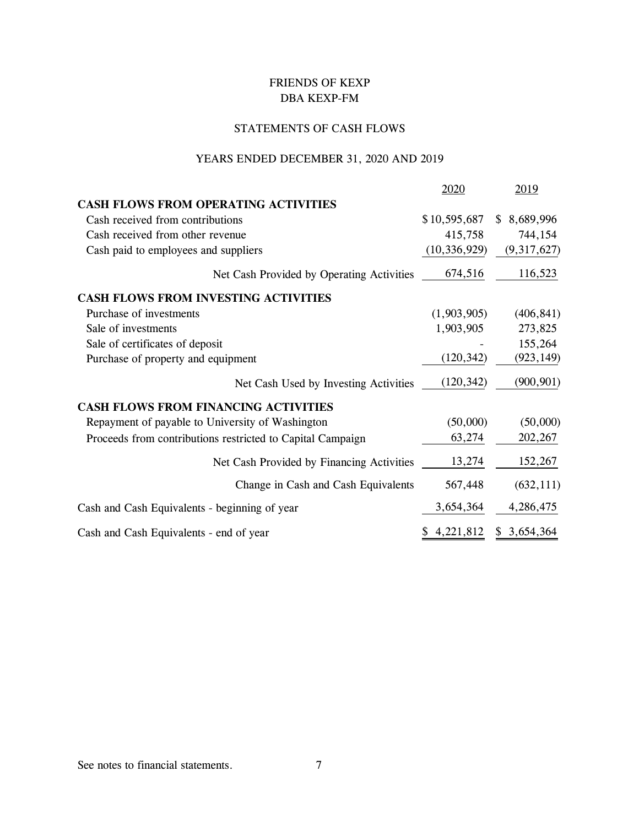# STATEMENTS OF CASH FLOWS

|                                                            | 2020           | 2019        |
|------------------------------------------------------------|----------------|-------------|
| <b>CASH FLOWS FROM OPERATING ACTIVITIES</b>                |                |             |
| Cash received from contributions                           | \$10,595,687   | \$8,689,996 |
| Cash received from other revenue                           | 415,758        | 744,154     |
| Cash paid to employees and suppliers                       | (10, 336, 929) | (9,317,627) |
| Net Cash Provided by Operating Activities                  | 674,516        | 116,523     |
| <b>CASH FLOWS FROM INVESTING ACTIVITIES</b>                |                |             |
| Purchase of investments                                    | (1,903,905)    | (406, 841)  |
| Sale of investments                                        | 1,903,905      | 273,825     |
| Sale of certificates of deposit                            |                | 155,264     |
| Purchase of property and equipment                         | (120, 342)     | (923, 149)  |
| Net Cash Used by Investing Activities                      | (120, 342)     | (900, 901)  |
| <b>CASH FLOWS FROM FINANCING ACTIVITIES</b>                |                |             |
| Repayment of payable to University of Washington           | (50,000)       | (50,000)    |
| Proceeds from contributions restricted to Capital Campaign | 63,274         | 202,267     |
| Net Cash Provided by Financing Activities                  | 13,274         | 152,267     |
| Change in Cash and Cash Equivalents                        | 567,448        | (632, 111)  |
| Cash and Cash Equivalents - beginning of year              | 3,654,364      | 4,286,475   |
| Cash and Cash Equivalents - end of year                    | 4,221,812      | \$3,654,364 |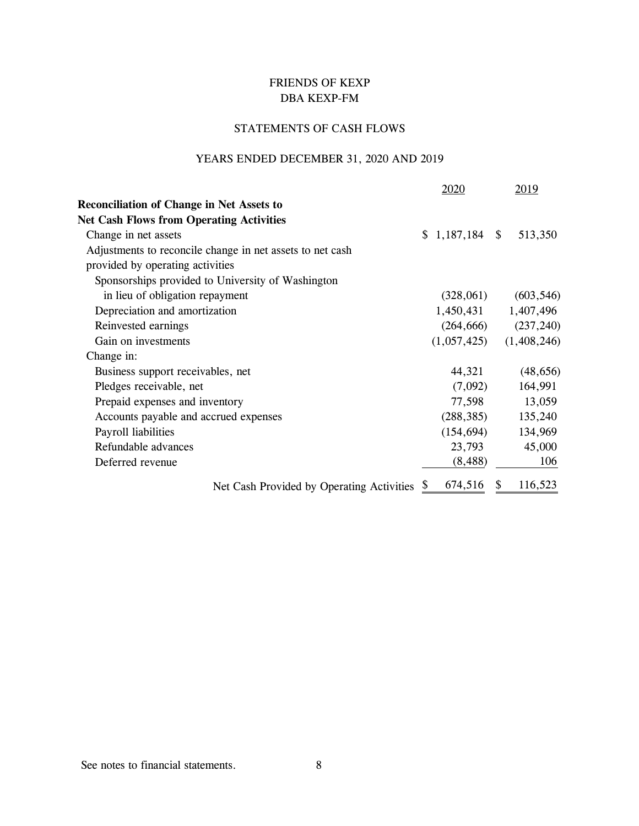# STATEMENTS OF CASH FLOWS

|                                                           | 2020             | 2019          |
|-----------------------------------------------------------|------------------|---------------|
| <b>Reconciliation of Change in Net Assets to</b>          |                  |               |
| <b>Net Cash Flows from Operating Activities</b>           |                  |               |
| Change in net assets                                      | $$1,187,184$ \\$ | 513,350       |
| Adjustments to reconcile change in net assets to net cash |                  |               |
| provided by operating activities                          |                  |               |
| Sponsorships provided to University of Washington         |                  |               |
| in lieu of obligation repayment                           | (328,061)        | (603, 546)    |
| Depreciation and amortization                             | 1,450,431        | 1,407,496     |
| Reinvested earnings                                       | (264, 666)       | (237, 240)    |
| Gain on investments                                       | (1,057,425)      | (1,408,246)   |
| Change in:                                                |                  |               |
| Business support receivables, net                         | 44,321           | (48, 656)     |
| Pledges receivable, net                                   | (7,092)          | 164,991       |
| Prepaid expenses and inventory                            | 77,598           | 13,059        |
| Accounts payable and accrued expenses                     | (288, 385)       | 135,240       |
| Payroll liabilities                                       | (154, 694)       | 134,969       |
| Refundable advances                                       | 23,793           | 45,000        |
| Deferred revenue                                          | (8, 488)         | 106           |
| Net Cash Provided by Operating Activities                 | 674,516          | 116,523<br>\$ |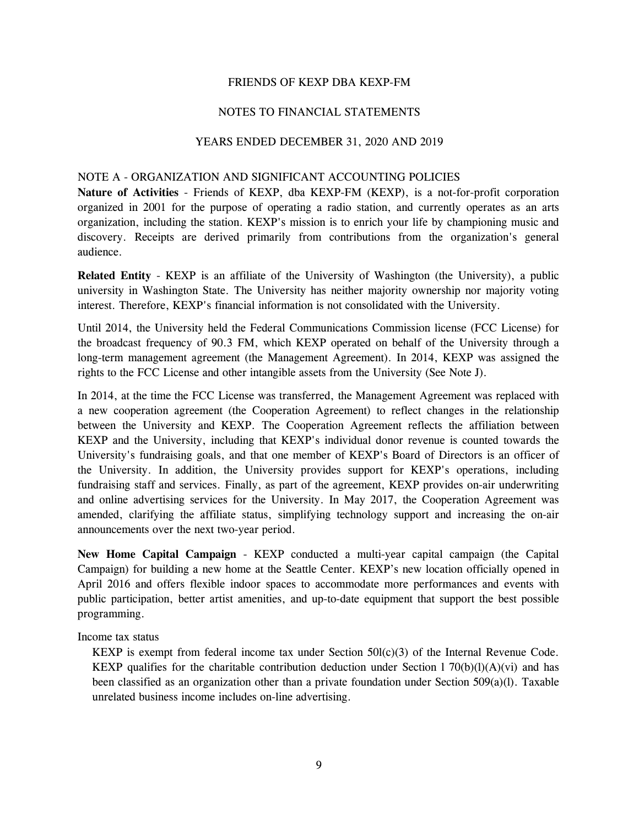# NOTES TO FINANCIAL STATEMENTS

### YEARS ENDED DECEMBER 31, 2020 AND 2019

#### NOTE A - ORGANIZATION AND SIGNIFICANT ACCOUNTING POLICIES

**Nature of Activities** - Friends of KEXP, dba KEXP-FM (KEXP), is a not-for-profit corporation organized in 2001 for the purpose of operating a radio station, and currently operates as an arts organization, including the station. KEXP's mission is to enrich your life by championing music and discovery. Receipts are derived primarily from contributions from the organization's general audience.

**Related Entity** - KEXP is an affiliate of the University of Washington (the University), a public university in Washington State. The University has neither majority ownership nor majority voting interest. Therefore, KEXP's financial information is not consolidated with the University.

Until 2014, the University held the Federal Communications Commission license (FCC License) for the broadcast frequency of 90.3 FM, which KEXP operated on behalf of the University through a long-term management agreement (the Management Agreement). In 2014, KEXP was assigned the rights to the FCC License and other intangible assets from the University (See Note J).

In 2014, at the time the FCC License was transferred, the Management Agreement was replaced with a new cooperation agreement (the Cooperation Agreement) to reflect changes in the relationship between the University and KEXP. The Cooperation Agreement reflects the affiliation between KEXP and the University, including that KEXP's individual donor revenue is counted towards the University's fundraising goals, and that one member of KEXP's Board of Directors is an officer of the University. In addition, the University provides support for KEXP's operations, including fundraising staff and services. Finally, as part of the agreement, KEXP provides on-air underwriting and online advertising services for the University. In May 2017, the Cooperation Agreement was amended, clarifying the affiliate status, simplifying technology support and increasing the on-air announcements over the next two-year period.

**New Home Capital Campaign** - KEXP conducted a multi-year capital campaign (the Capital Campaign) for building a new home at the Seattle Center. KEXP's new location officially opened in April 2016 and offers flexible indoor spaces to accommodate more performances and events with public participation, better artist amenities, and up-to-date equipment that support the best possible programming.

Income tax status

KEXP is exempt from federal income tax under Section  $50I(c)(3)$  of the Internal Revenue Code. KEXP qualifies for the charitable contribution deduction under Section 1 70(b)(l)(A)(vi) and has been classified as an organization other than a private foundation under Section 509(a)(l). Taxable unrelated business income includes on-line advertising.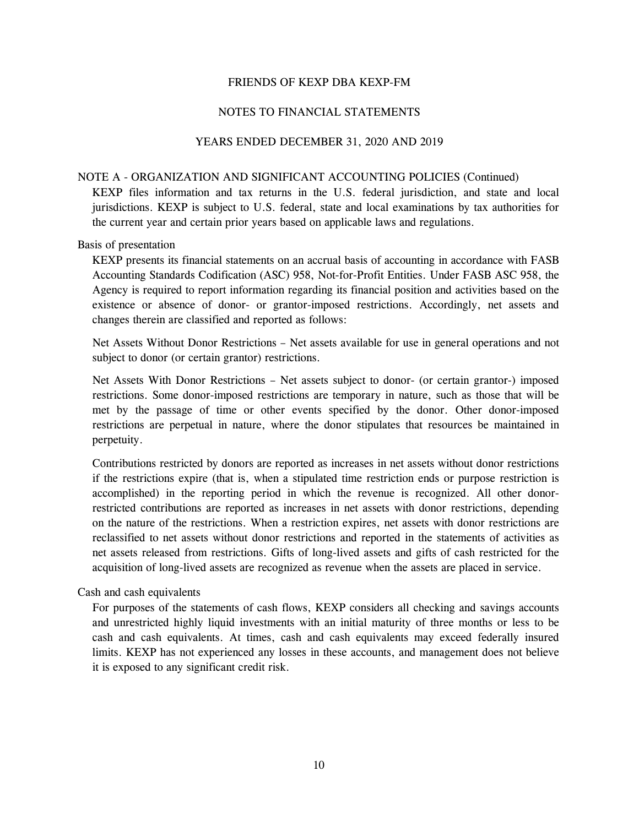# NOTES TO FINANCIAL STATEMENTS

#### YEARS ENDED DECEMBER 31, 2020 AND 2019

#### NOTE A - ORGANIZATION AND SIGNIFICANT ACCOUNTING POLICIES (Continued)

KEXP files information and tax returns in the U.S. federal jurisdiction, and state and local jurisdictions. KEXP is subject to U.S. federal, state and local examinations by tax authorities for the current year and certain prior years based on applicable laws and regulations.

Basis of presentation

KEXP presents its financial statements on an accrual basis of accounting in accordance with FASB Accounting Standards Codification (ASC) 958, Not-for-Profit Entities. Under FASB ASC 958, the Agency is required to report information regarding its financial position and activities based on the existence or absence of donor- or grantor-imposed restrictions. Accordingly, net assets and changes therein are classified and reported as follows:

Net Assets Without Donor Restrictions – Net assets available for use in general operations and not subject to donor (or certain grantor) restrictions.

Net Assets With Donor Restrictions – Net assets subject to donor- (or certain grantor-) imposed restrictions. Some donor-imposed restrictions are temporary in nature, such as those that will be met by the passage of time or other events specified by the donor. Other donor-imposed restrictions are perpetual in nature, where the donor stipulates that resources be maintained in perpetuity.

Contributions restricted by donors are reported as increases in net assets without donor restrictions if the restrictions expire (that is, when a stipulated time restriction ends or purpose restriction is accomplished) in the reporting period in which the revenue is recognized. All other donorrestricted contributions are reported as increases in net assets with donor restrictions, depending on the nature of the restrictions. When a restriction expires, net assets with donor restrictions are reclassified to net assets without donor restrictions and reported in the statements of activities as net assets released from restrictions. Gifts of long-lived assets and gifts of cash restricted for the acquisition of long-lived assets are recognized as revenue when the assets are placed in service.

Cash and cash equivalents

For purposes of the statements of cash flows, KEXP considers all checking and savings accounts and unrestricted highly liquid investments with an initial maturity of three months or less to be cash and cash equivalents. At times, cash and cash equivalents may exceed federally insured limits. KEXP has not experienced any losses in these accounts, and management does not believe it is exposed to any significant credit risk.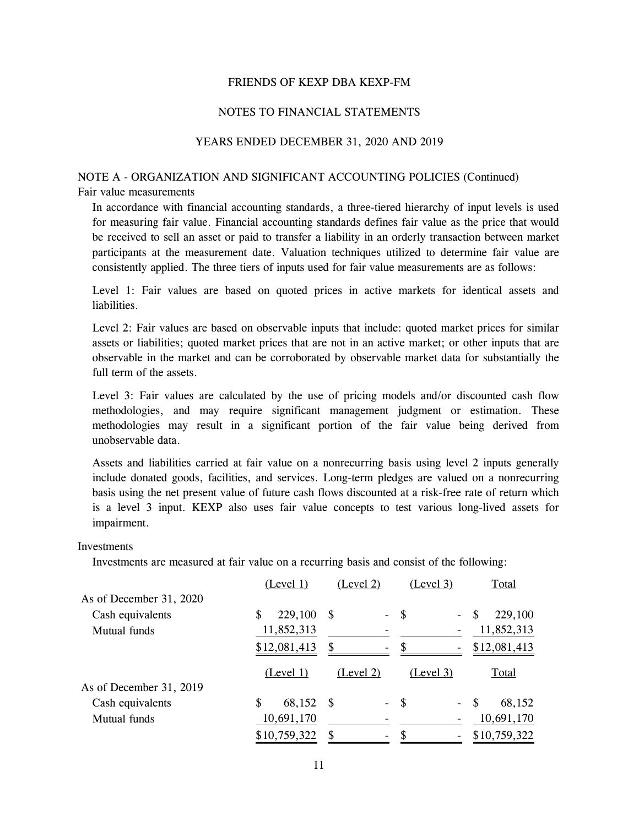# NOTES TO FINANCIAL STATEMENTS

#### YEARS ENDED DECEMBER 31, 2020 AND 2019

#### NOTE A - ORGANIZATION AND SIGNIFICANT ACCOUNTING POLICIES (Continued)

Fair value measurements

In accordance with financial accounting standards, a three-tiered hierarchy of input levels is used for measuring fair value. Financial accounting standards defines fair value as the price that would be received to sell an asset or paid to transfer a liability in an orderly transaction between market participants at the measurement date. Valuation techniques utilized to determine fair value are consistently applied. The three tiers of inputs used for fair value measurements are as follows:

Level 1: Fair values are based on quoted prices in active markets for identical assets and liabilities.

Level 2: Fair values are based on observable inputs that include: quoted market prices for similar assets or liabilities; quoted market prices that are not in an active market; or other inputs that are observable in the market and can be corroborated by observable market data for substantially the full term of the assets.

Level 3: Fair values are calculated by the use of pricing models and/or discounted cash flow methodologies, and may require significant management judgment or estimation. These methodologies may result in a significant portion of the fair value being derived from unobservable data.

Assets and liabilities carried at fair value on a nonrecurring basis using level 2 inputs generally include donated goods, facilities, and services. Long-term pledges are valued on a nonrecurring basis using the net present value of future cash flows discounted at a risk-free rate of return which is a level 3 input. KEXP also uses fair value concepts to test various long-lived assets for impairment.

#### Investments

Investments are measured at fair value on a recurring basis and consist of the following:

|                         | (Level 1)     | (Level 2)                      | (Level 3)                 | Total         |
|-------------------------|---------------|--------------------------------|---------------------------|---------------|
| As of December 31, 2020 |               |                                |                           |               |
| Cash equivalents        | \$<br>229,100 | \$<br>$\sim$ $-$               | $\boldsymbol{\mathsf{S}}$ | 229,100<br>\$ |
| Mutual funds            | 11,852,313    |                                |                           | 11,852,313    |
|                         | \$12,081,413  | \$<br>$\overline{\phantom{a}}$ | \$                        | \$12,081,413  |
|                         | (Level 1)     | (Level 2)                      | (Level 3)                 | Total         |
| As of December 31, 2019 |               |                                |                           |               |
| Cash equivalents        | \$<br>68,152  | - \$<br>$\blacksquare$         | \$                        | 68,152<br>S   |
| Mutual funds            | 10,691,170    |                                |                           | 10,691,170    |
|                         | \$10,759,322  | \$                             | \$                        | \$10,759,322  |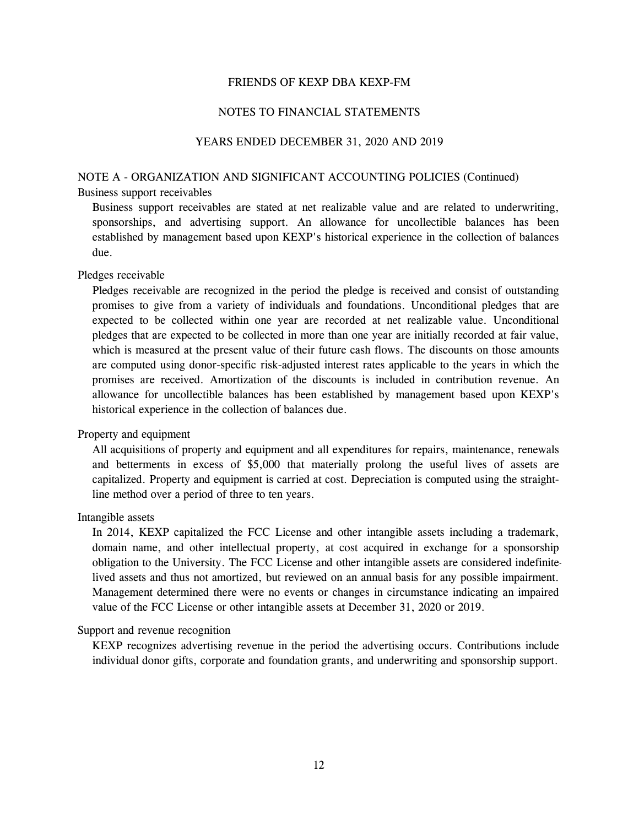### NOTES TO FINANCIAL STATEMENTS

#### YEARS ENDED DECEMBER 31, 2020 AND 2019

NOTE A - ORGANIZATION AND SIGNIFICANT ACCOUNTING POLICIES (Continued)

#### Business support receivables

Business support receivables are stated at net realizable value and are related to underwriting, sponsorships, and advertising support. An allowance for uncollectible balances has been established by management based upon KEXP's historical experience in the collection of balances due.

#### Pledges receivable

Pledges receivable are recognized in the period the pledge is received and consist of outstanding promises to give from a variety of individuals and foundations. Unconditional pledges that are expected to be collected within one year are recorded at net realizable value. Unconditional pledges that are expected to be collected in more than one year are initially recorded at fair value, which is measured at the present value of their future cash flows. The discounts on those amounts are computed using donor-specific risk-adjusted interest rates applicable to the years in which the promises are received. Amortization of the discounts is included in contribution revenue. An allowance for uncollectible balances has been established by management based upon KEXP's historical experience in the collection of balances due.

#### Property and equipment

All acquisitions of property and equipment and all expenditures for repairs, maintenance, renewals and betterments in excess of \$5,000 that materially prolong the useful lives of assets are capitalized. Property and equipment is carried at cost. Depreciation is computed using the straightline method over a period of three to ten years.

### Intangible assets

In 2014, KEXP capitalized the FCC License and other intangible assets including a trademark, domain name, and other intellectual property, at cost acquired in exchange for a sponsorship obligation to the University. The FCC License and other intangible assets are considered indefinitelived assets and thus not amortized, but reviewed on an annual basis for any possible impairment. Management determined there were no events or changes in circumstance indicating an impaired value of the FCC License or other intangible assets at December 31, 2020 or 2019.

#### Support and revenue recognition

KEXP recognizes advertising revenue in the period the advertising occurs. Contributions include individual donor gifts, corporate and foundation grants, and underwriting and sponsorship support.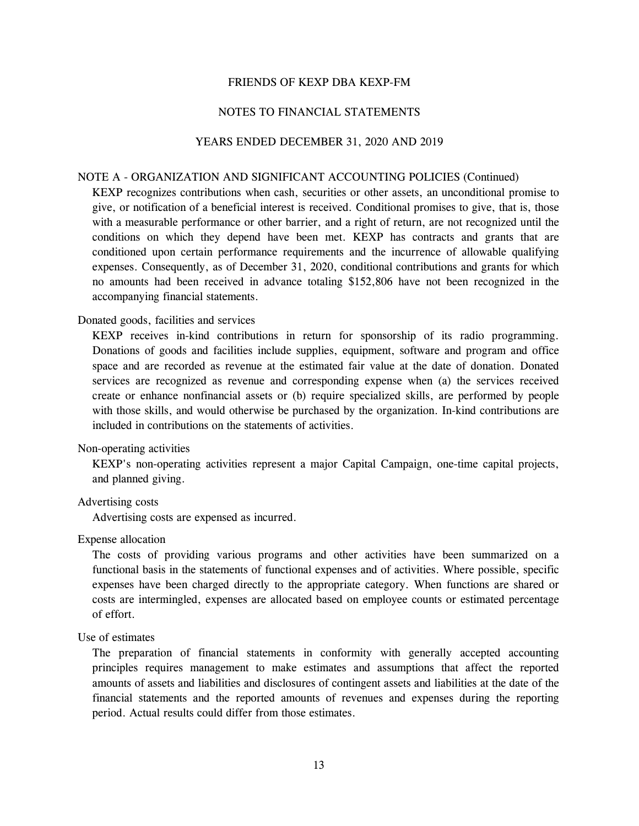### NOTES TO FINANCIAL STATEMENTS

#### YEARS ENDED DECEMBER 31, 2020 AND 2019

#### NOTE A - ORGANIZATION AND SIGNIFICANT ACCOUNTING POLICIES (Continued)

KEXP recognizes contributions when cash, securities or other assets, an unconditional promise to give, or notification of a beneficial interest is received. Conditional promises to give, that is, those with a measurable performance or other barrier, and a right of return, are not recognized until the conditions on which they depend have been met. KEXP has contracts and grants that are conditioned upon certain performance requirements and the incurrence of allowable qualifying expenses. Consequently, as of December 31, 2020, conditional contributions and grants for which no amounts had been received in advance totaling \$152,806 have not been recognized in the accompanying financial statements.

### Donated goods, facilities and services

KEXP receives in-kind contributions in return for sponsorship of its radio programming. Donations of goods and facilities include supplies, equipment, software and program and office space and are recorded as revenue at the estimated fair value at the date of donation. Donated services are recognized as revenue and corresponding expense when (a) the services received create or enhance nonfinancial assets or (b) require specialized skills, are performed by people with those skills, and would otherwise be purchased by the organization. In-kind contributions are included in contributions on the statements of activities.

#### Non-operating activities

KEXP's non-operating activities represent a major Capital Campaign, one-time capital projects, and planned giving.

#### Advertising costs

Advertising costs are expensed as incurred.

## Expense allocation

The costs of providing various programs and other activities have been summarized on a functional basis in the statements of functional expenses and of activities. Where possible, specific expenses have been charged directly to the appropriate category. When functions are shared or costs are intermingled, expenses are allocated based on employee counts or estimated percentage of effort.

# Use of estimates

The preparation of financial statements in conformity with generally accepted accounting principles requires management to make estimates and assumptions that affect the reported amounts of assets and liabilities and disclosures of contingent assets and liabilities at the date of the financial statements and the reported amounts of revenues and expenses during the reporting period. Actual results could differ from those estimates.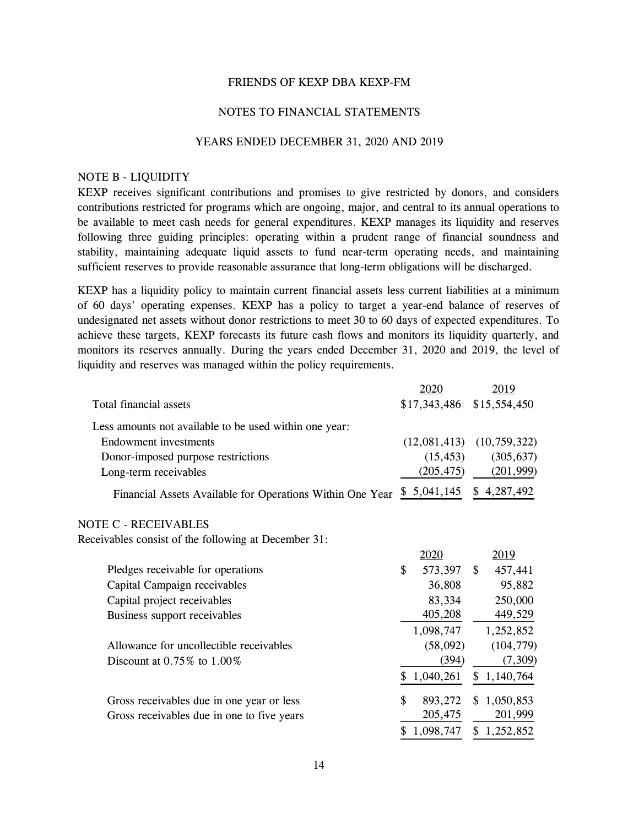# NOTES TO FINANCIAL STATEMENTS

#### YEARS ENDED DECEMBER 31, 2020 AND 2019

### NOTE B - LIQUIDITY

KEXP receives significant contributions and promises to give restricted by donors, and considers contributions restricted for programs which are ongoing, major, and central to its annual operations to be available to meet cash needs for general expenditures. KEXP manages its liquidity and reserves following three guiding principles: operating within a prudent range of financial soundness and stability, maintaining adequate liquid assets to fund near-term operating needs, and maintaining sufficient reserves to provide reasonable assurance that long-term obligations will be discharged.

KEXP has a liquidity policy to maintain current financial assets less current liabilities at a minimum of 60 days' operating expenses. KEXP has a policy to target a year-end balance of reserves of undesignated net assets without donor restrictions to meet 30 to 60 days of expected expenditures. To achieve these targets, KEXP forecasts its future cash flows and monitors its liquidity quarterly, and monitors its reserves annually. During the years ended December 31, 2020 and 2019, the level of liquidity and reserves was managed within the policy requirements.

|                                                           | 2020                          | 2019          |
|-----------------------------------------------------------|-------------------------------|---------------|
| Total financial assets                                    | \$17,343,486                  | \$15,554,450  |
| Less amounts not available to be used within one year:    |                               |               |
| <b>Endowment</b> investments                              | $(12,081,413)$ $(10,759,322)$ |               |
| Donor-imposed purpose restrictions                        | (15, 453)                     | (305, 637)    |
| Long-term receivables                                     | (205, 475)                    | (201,999)     |
| Financial Assets Available for Operations Within One Year | $$5,041,145$ $$4,287,492$     |               |
| NOTE C - RECEIVABLES                                      |                               |               |
| Receivables consist of the following at December 31:      |                               |               |
|                                                           | 2020                          | 2019          |
| Pledges receivable for operations                         | \$<br>573,397                 | \$<br>457,441 |
| Capital Campaign receivables                              | 36,808                        | 95,882        |
| Capital project receivables                               | 83,334                        | 250,000       |
| Business support receivables                              | 405,208                       | 449,529       |
|                                                           | 1,098,747                     | 1,252,852     |
| Allowance for uncollectible receivables                   | (58,092)                      | (104, 779)    |
| Discount at $0.75\%$ to $1.00\%$                          | (394)                         | (7,309)       |
|                                                           | \$<br>1,040,261               | \$1,140,764   |
| Gross receivables due in one year or less                 | \$<br>893,272                 | \$1,050,853   |
| Gross receivables due in one to five years                | 205,475                       | 201,999       |
|                                                           | \$1,098,747                   | \$1,252,852   |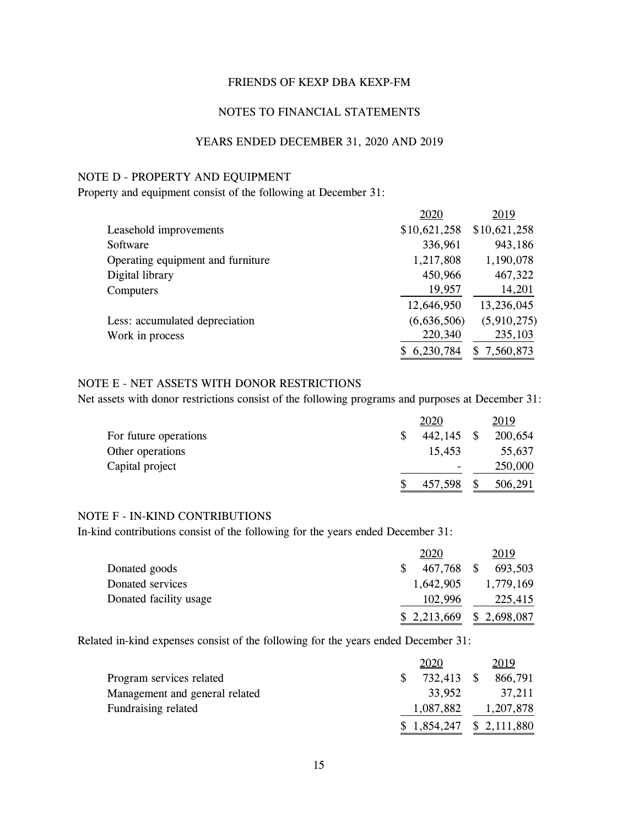# NOTES TO FINANCIAL STATEMENTS

# YEARS ENDED DECEMBER 31, 2020 AND 2019

## NOTE D - PROPERTY AND EQUIPMENT

Property and equipment consist of the following at December 31:

|                                   | 2020         | 2019            |
|-----------------------------------|--------------|-----------------|
| Leasehold improvements            | \$10,621,258 | \$10,621,258    |
| Software                          | 336,961      | 943,186         |
| Operating equipment and furniture | 1,217,808    | 1,190,078       |
| Digital library                   | 450,966      | 467,322         |
| Computers                         | 19,957       | 14,201          |
|                                   | 12,646,950   | 13,236,045      |
| Less: accumulated depreciation    | (6,636,506)  | (5,910,275)     |
| Work in process                   | 220,340      | 235,103         |
|                                   | 6,230,784    | 7,560,873<br>S. |

# NOTE E - NET ASSETS WITH DONOR RESTRICTIONS

Net assets with donor restrictions consist of the following programs and purposes at December 31:

|                       | 2020                     |              | 2019    |
|-----------------------|--------------------------|--------------|---------|
| For future operations | 442,145 \$               |              | 200,654 |
| Other operations      | 15.453                   |              | 55,637  |
| Capital project       | $\overline{\phantom{0}}$ |              | 250,000 |
|                       | 457,598                  | $\mathbb{S}$ | 506,291 |

# NOTE F - IN-KIND CONTRIBUTIONS

In-kind contributions consist of the following for the years ended December 31:

|                        | 2020       | 2019                      |
|------------------------|------------|---------------------------|
| Donated goods          | 467,768 \$ | 693,503                   |
| Donated services       | 1.642.905  | 1,779,169                 |
| Donated facility usage | 102,996    | 225,415                   |
|                        |            | $$2,213,669$ $$2,698,087$ |

Related in-kind expenses consist of the following for the years ended December 31:

|                                | 2020                      | 2019      |
|--------------------------------|---------------------------|-----------|
| Program services related       | 732.413 \$                | 866,791   |
| Management and general related | 33.952                    | 37,211    |
| Fundraising related            | 1,087,882                 | 1,207,878 |
|                                | $$1,854,247$ $$2,111,880$ |           |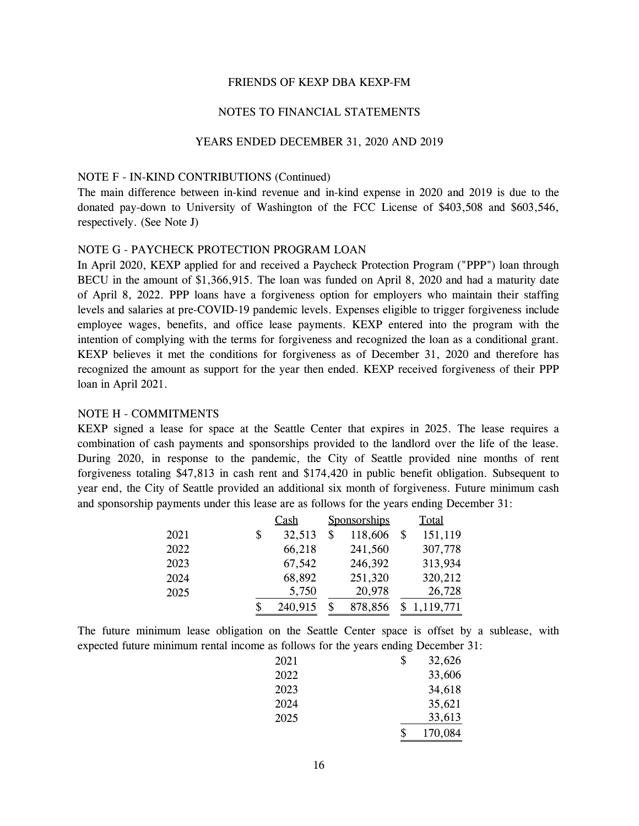### NOTES TO FINANCIAL STATEMENTS

#### YEARS ENDED DECEMBER 31, 2020 AND 2019

# NOTE F - IN-KIND CONTRIBUTIONS (Continued)

The main difference between in-kind revenue and in-kind expense in 2020 and 2019 is due to the donated pay-down to University of Washington of the FCC License of \$403,508 and \$603,546, respectively. (See Note J)

#### NOTE G - PAYCHECK PROTECTION PROGRAM LOAN

In April 2020, KEXP applied for and received a Paycheck Protection Program ("PPP") loan through BECU in the amount of \$1,366,915. The loan was funded on April 8, 2020 and had a maturity date of April 8, 2022. PPP loans have a forgiveness option for employers who maintain their staffing levels and salaries at pre-COVID-19 pandemic levels. Expenses eligible to trigger forgiveness include employee wages, benefits, and office lease payments. KEXP entered into the program with the intention of complying with the terms for forgiveness and recognized the loan as a conditional grant. KEXP believes it met the conditions for forgiveness as of December 31, 2020 and therefore has recognized the amount as support for the year then ended. KEXP received forgiveness of their PPP loan in April 2021.

## NOTE H - COMMITMENTS

KEXP signed a lease for space at the Seattle Center that expires in 2025. The lease requires a combination of cash payments and sponsorships provided to the landlord over the life of the lease. During 2020, in response to the pandemic, the City of Seattle provided nine months of rent forgiveness totaling \$47,813 in cash rent and \$174,420 in public benefit obligation. Subsequent to year end, the City of Seattle provided an additional six month of forgiveness. Future minimum cash and sponsorship payments under this lease are as follows for the years ending December 31:

|      | Cash         | Sponsorships  |   | Total     |
|------|--------------|---------------|---|-----------|
| 2021 | \$<br>32,513 | \$<br>118,606 | S | 151,119   |
| 2022 | 66,218       | 241,560       |   | 307,778   |
| 2023 | 67,542       | 246,392       |   | 313,934   |
| 2024 | 68,892       | 251,320       |   | 320,212   |
| 2025 | 5,750        | 20,978        |   | 26,728    |
|      | 240,915      | 878,856       |   | 1,119,771 |

The future minimum lease obligation on the Seattle Center space is offset by a sublease, with expected future minimum rental income as follows for the years ending December 31:

| 2021 | S | 32,626  |
|------|---|---------|
| 2022 |   | 33,606  |
| 2023 |   | 34,618  |
| 2024 |   | 35,621  |
| 2025 |   | 33,613  |
|      | S | 170,084 |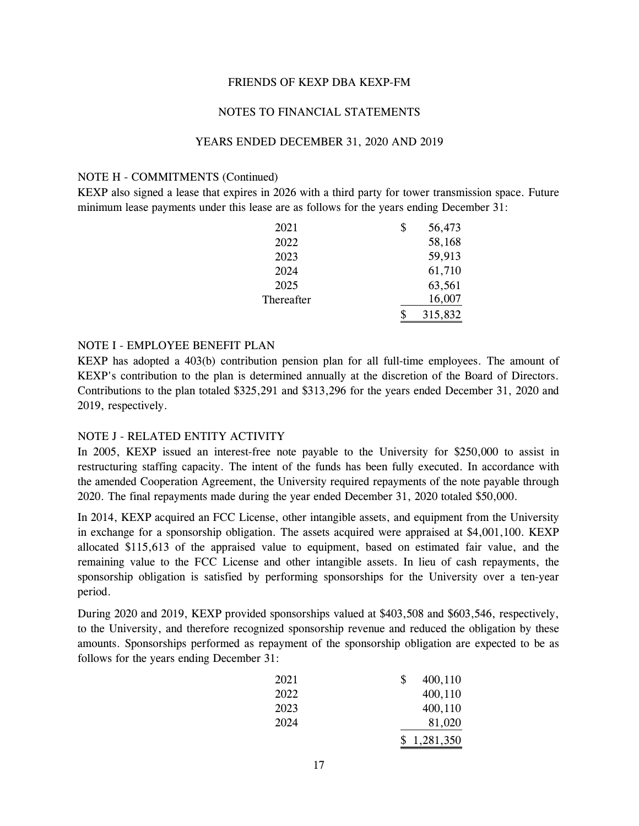# NOTES TO FINANCIAL STATEMENTS

#### YEARS ENDED DECEMBER 31, 2020 AND 2019

# NOTE H - COMMITMENTS (Continued)

KEXP also signed a lease that expires in 2026 with a third party for tower transmission space. Future minimum lease payments under this lease are as follows for the years ending December 31:

| 2021       | S | 56,473  |
|------------|---|---------|
| 2022       |   | 58,168  |
| 2023       |   | 59,913  |
| 2024       |   | 61,710  |
| 2025       |   | 63,561  |
| Thereafter |   | 16,007  |
|            |   | 315,832 |

## NOTE I - EMPLOYEE BENEFIT PLAN

KEXP has adopted a 403(b) contribution pension plan for all full-time employees. The amount of KEXP's contribution to the plan is determined annually at the discretion of the Board of Directors. Contributions to the plan totaled \$325,291 and \$313,296 for the years ended December 31, 2020 and 2019, respectively.

## NOTE J - RELATED ENTITY ACTIVITY

In 2005, KEXP issued an interest-free note payable to the University for \$250,000 to assist in restructuring staffing capacity. The intent of the funds has been fully executed. In accordance with the amended Cooperation Agreement, the University required repayments of the note payable through 2020. The final repayments made during the year ended December 31, 2020 totaled \$50,000.

In 2014, KEXP acquired an FCC License, other intangible assets, and equipment from the University in exchange for a sponsorship obligation. The assets acquired were appraised at \$4,001,100. KEXP allocated \$115,613 of the appraised value to equipment, based on estimated fair value, and the remaining value to the FCC License and other intangible assets. In lieu of cash repayments, the sponsorship obligation is satisfied by performing sponsorships for the University over a ten-year period.

During 2020 and 2019, KEXP provided sponsorships valued at \$403,508 and \$603,546, respectively, to the University, and therefore recognized sponsorship revenue and reduced the obligation by these amounts. Sponsorships performed as repayment of the sponsorship obligation are expected to be as follows for the years ending December 31:

| 2021 | 400,110     |
|------|-------------|
| 2022 | 400,110     |
| 2023 | 400,110     |
| 2024 | 81,020      |
|      | \$1,281,350 |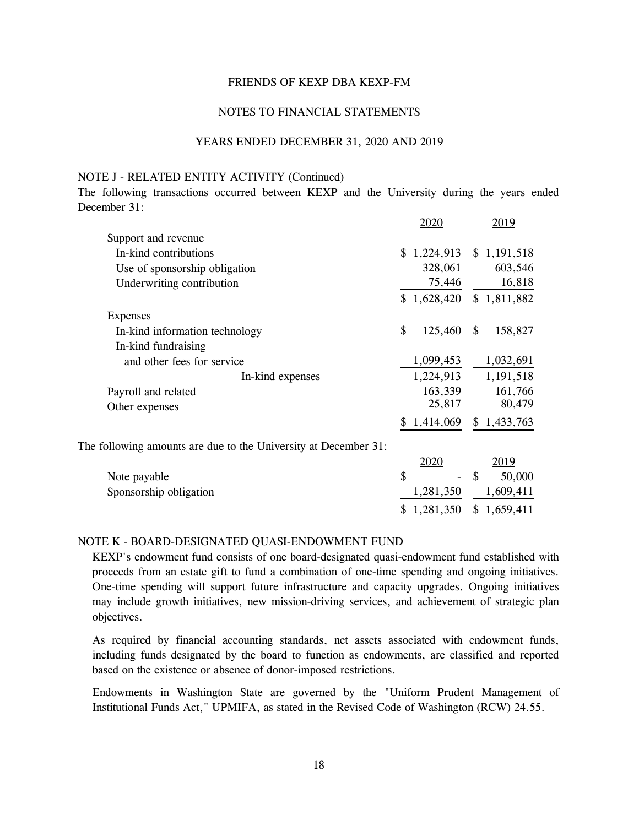#### NOTES TO FINANCIAL STATEMENTS

#### YEARS ENDED DECEMBER 31, 2020 AND 2019

# NOTE J - RELATED ENTITY ACTIVITY (Continued)

The following transactions occurred between KEXP and the University during the years ended December 31:

|                                                                 | 2020                      |               | 2019        |
|-----------------------------------------------------------------|---------------------------|---------------|-------------|
| Support and revenue                                             |                           |               |             |
| In-kind contributions                                           | $$1,224,913$ $$1,191,518$ |               |             |
| Use of sponsorship obligation                                   | 328,061                   |               | 603,546     |
| Underwriting contribution                                       | 75,446                    |               | 16,818      |
|                                                                 | \$1,628,420               |               | \$1,811,882 |
| Expenses                                                        |                           |               |             |
| In-kind information technology                                  | \$<br>125,460             | \$            | 158,827     |
| In-kind fundraising                                             |                           |               |             |
| and other fees for service                                      | 1,099,453                 |               | 1,032,691   |
| In-kind expenses                                                | 1,224,913                 |               | 1,191,518   |
| Payroll and related                                             | 163,339                   |               | 161,766     |
| Other expenses                                                  | 25,817                    |               | 80,479      |
|                                                                 | 1,414,069                 |               | \$1,433,763 |
| The following amounts are due to the University at December 31: |                           |               |             |
|                                                                 | 2020                      |               | 2019        |
| Note payable                                                    | \$                        | <sup>\$</sup> | 50,000      |
| Sponsorship obligation                                          | 1,281,350                 |               | 1,609,411   |
|                                                                 | 1,281,350                 |               | \$1,659,411 |

#### NOTE K - BOARD-DESIGNATED QUASI-ENDOWMENT FUND

KEXP's endowment fund consists of one board-designated quasi-endowment fund established with proceeds from an estate gift to fund a combination of one-time spending and ongoing initiatives. One-time spending will support future infrastructure and capacity upgrades. Ongoing initiatives may include growth initiatives, new mission-driving services, and achievement of strategic plan objectives.

As required by financial accounting standards, net assets associated with endowment funds, including funds designated by the board to function as endowments, are classified and reported based on the existence or absence of donor-imposed restrictions.

Endowments in Washington State are governed by the "Uniform Prudent Management of Institutional Funds Act," UPMIFA, as stated in the Revised Code of Washington (RCW) 24.55.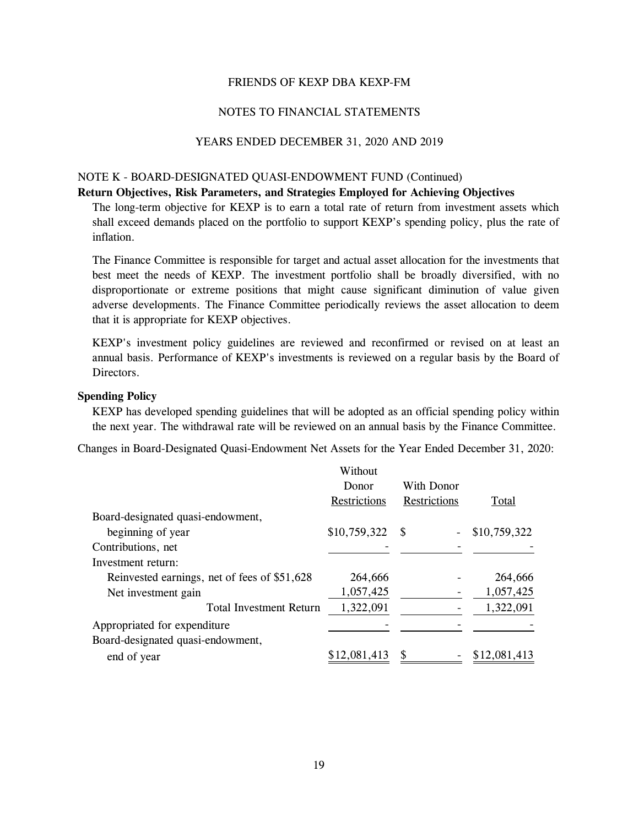# NOTES TO FINANCIAL STATEMENTS

#### YEARS ENDED DECEMBER 31, 2020 AND 2019

#### NOTE K - BOARD-DESIGNATED QUASI-ENDOWMENT FUND (Continued)

### **Return Objectives, Risk Parameters, and Strategies Employed for Achieving Objectives**

The long-term objective for KEXP is to earn a total rate of return from investment assets which shall exceed demands placed on the portfolio to support KEXP's spending policy, plus the rate of inflation.

The Finance Committee is responsible for target and actual asset allocation for the investments that best meet the needs of KEXP. The investment portfolio shall be broadly diversified, with no disproportionate or extreme positions that might cause significant diminution of value given adverse developments. The Finance Committee periodically reviews the asset allocation to deem that it is appropriate for KEXP objectives.

KEXP's investment policy guidelines are reviewed and reconfirmed or revised on at least an annual basis. Performance of KEXP's investments is reviewed on a regular basis by the Board of Directors.

#### **Spending Policy**

KEXP has developed spending guidelines that will be adopted as an official spending policy within the next year. The withdrawal rate will be reviewed on an annual basis by the Finance Committee.

Changes in Board-Designated Quasi-Endowment Net Assets for the Year Ended December 31, 2020:

|                                              | Without      |              |              |
|----------------------------------------------|--------------|--------------|--------------|
|                                              | Donor        | With Donor   |              |
|                                              | Restrictions | Restrictions | Total        |
| Board-designated quasi-endowment,            |              |              |              |
| beginning of year                            | \$10,759,322 | - \$         | \$10,759,322 |
| Contributions, net                           |              |              |              |
| Investment return:                           |              |              |              |
| Reinvested earnings, net of fees of \$51,628 | 264,666      |              | 264,666      |
| Net investment gain                          | 1,057,425    |              | 1,057,425    |
| <b>Total Investment Return</b>               | 1,322,091    |              | 1,322,091    |
| Appropriated for expenditure                 |              |              |              |
| Board-designated quasi-endowment,            |              |              |              |
| end of year                                  | \$12,081,413 | S            | \$12,081,413 |
|                                              |              |              |              |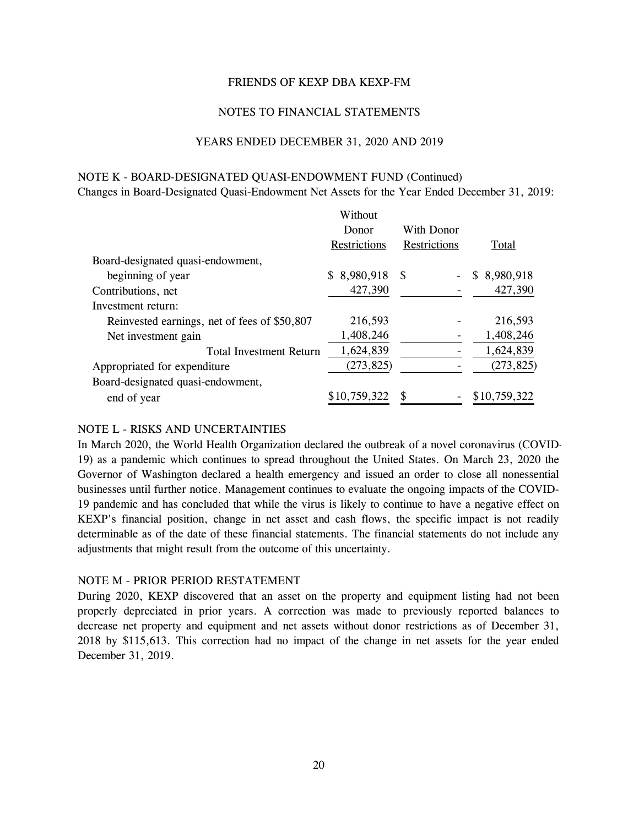# NOTES TO FINANCIAL STATEMENTS

#### YEARS ENDED DECEMBER 31, 2020 AND 2019

# NOTE K - BOARD-DESIGNATED QUASI-ENDOWMENT FUND (Continued)

Changes in Board-Designated Quasi-Endowment Net Assets for the Year Ended December 31, 2019:

|                                              | Without         |              |              |
|----------------------------------------------|-----------------|--------------|--------------|
|                                              | Donor           | With Donor   |              |
|                                              | Restrictions    | Restrictions | Total        |
| Board-designated quasi-endowment,            |                 |              |              |
| beginning of year                            | 8,980,918<br>S. | \$           | \$8,980,918  |
| Contributions, net                           | 427,390         |              | 427,390      |
| Investment return:                           |                 |              |              |
| Reinvested earnings, net of fees of \$50,807 | 216,593         |              | 216,593      |
| Net investment gain                          | 1,408,246       |              | 1,408,246    |
| <b>Total Investment Return</b>               | 1,624,839       |              | 1,624,839    |
| Appropriated for expenditure                 | (273, 825)      |              | (273, 825)   |
| Board-designated quasi-endowment,            |                 |              |              |
| end of year                                  | \$10,759,322    |              | \$10,759,322 |

# NOTE L - RISKS AND UNCERTAINTIES

In March 2020, the World Health Organization declared the outbreak of a novel coronavirus (COVID-19) as a pandemic which continues to spread throughout the United States. On March 23, 2020 the Governor of Washington declared a health emergency and issued an order to close all nonessential businesses until further notice. Management continues to evaluate the ongoing impacts of the COVID-19 pandemic and has concluded that while the virus is likely to continue to have a negative effect on KEXP's financial position, change in net asset and cash flows, the specific impact is not readily determinable as of the date of these financial statements. The financial statements do not include any adjustments that might result from the outcome of this uncertainty.

## NOTE M - PRIOR PERIOD RESTATEMENT

During 2020, KEXP discovered that an asset on the property and equipment listing had not been properly depreciated in prior years. A correction was made to previously reported balances to decrease net property and equipment and net assets without donor restrictions as of December 31, 2018 by \$115,613. This correction had no impact of the change in net assets for the year ended December 31, 2019.